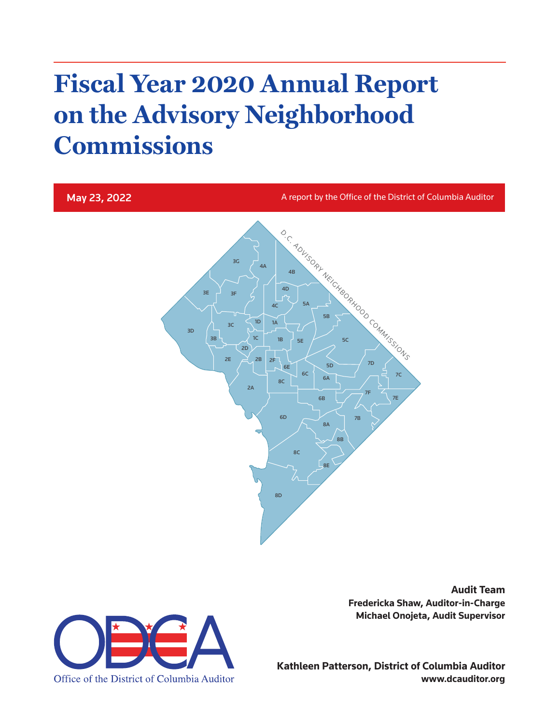# **Fiscal Year 2020 Annual Report on the Advisory Neighborhood Commissions**

### May 23, 2022

A report by the Office of the District of Columbia Auditor



Office of the District of Columbia Auditor

**Audit Team Fredericka Shaw, Auditor-in-Charge Michael Onojeta, Audit Supervisor**

**Kathleen Patterson, District of Columbia Auditor www.dcauditor.org**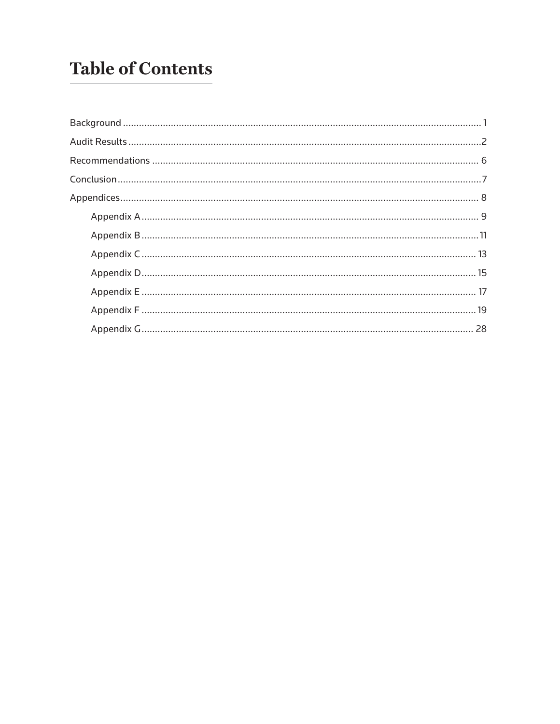# **Table of Contents**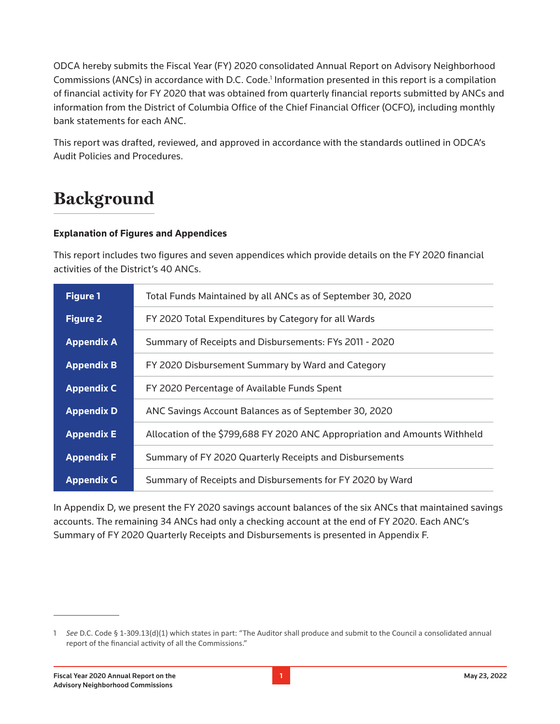ODCA hereby submits the Fiscal Year (FY) 2020 consolidated Annual Report on Advisory Neighborhood Commissions (ANCs) in accordance with D.C. Code.<sup>1</sup> Information presented in this report is a compilation of financial activity for FY 2020 that was obtained from quarterly financial reports submitted by ANCs and information from the District of Columbia Office of the Chief Financial Officer (OCFO), including monthly bank statements for each ANC.

This report was drafted, reviewed, and approved in accordance with the standards outlined in ODCA's Audit Policies and Procedures.

### **Background**

#### **Explanation of Figures and Appendices**

This report includes two figures and seven appendices which provide details on the FY 2020 financial activities of the District's 40 ANCs.

| <b>Figure 1</b>   | Total Funds Maintained by all ANCs as of September 30, 2020                |
|-------------------|----------------------------------------------------------------------------|
| <b>Figure 2</b>   | FY 2020 Total Expenditures by Category for all Wards                       |
| <b>Appendix A</b> | Summary of Receipts and Disbursements: FYs 2011 - 2020                     |
| <b>Appendix B</b> | FY 2020 Disbursement Summary by Ward and Category                          |
| <b>Appendix C</b> | FY 2020 Percentage of Available Funds Spent                                |
| <b>Appendix D</b> | ANC Savings Account Balances as of September 30, 2020                      |
| <b>Appendix E</b> | Allocation of the \$799,688 FY 2020 ANC Appropriation and Amounts Withheld |
| <b>Appendix F</b> | Summary of FY 2020 Quarterly Receipts and Disbursements                    |
| <b>Appendix G</b> | Summary of Receipts and Disbursements for FY 2020 by Ward                  |

In Appendix D, we present the FY 2020 savings account balances of the six ANCs that maintained savings accounts. The remaining 34 ANCs had only a checking account at the end of FY 2020. Each ANC's Summary of FY 2020 Quarterly Receipts and Disbursements is presented in Appendix F.

<sup>1</sup> *See* D.C. Code § 1-309.13(d)(1) which states in part: "The Auditor shall produce and submit to the Council a consolidated annual report of the financial activity of all the Commissions."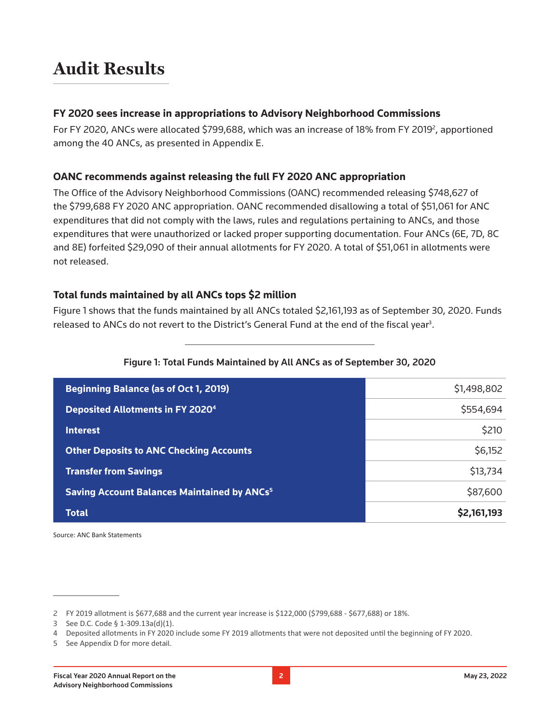### **Audit Results**

#### **FY 2020 sees increase in appropriations to Advisory Neighborhood Commissions**

For FY 2020, ANCs were allocated \$799,688, which was an increase of 18% from FY 2019<sup>2</sup>, apportioned among the 40 ANCs, as presented in Appendix E.

#### **OANC recommends against releasing the full FY 2020 ANC appropriation**

The Office of the Advisory Neighborhood Commissions (OANC) recommended releasing \$748,627 of the \$799,688 FY 2020 ANC appropriation. OANC recommended disallowing a total of \$51,061 for ANC expenditures that did not comply with the laws, rules and regulations pertaining to ANCs, and those expenditures that were unauthorized or lacked proper supporting documentation. Four ANCs (6E, 7D, 8C and 8E) forfeited \$29,090 of their annual allotments for FY 2020. A total of \$51,061 in allotments were not released.

### **Total funds maintained by all ANCs tops \$2 million**

Figure 1 shows that the funds maintained by all ANCs totaled \$2,161,193 as of September 30, 2020. Funds released to ANCs do not revert to the District's General Fund at the end of the fiscal year<sup>3</sup>.

| <b>Beginning Balance (as of Oct 1, 2019)</b>                  | \$1,498,802 |
|---------------------------------------------------------------|-------------|
| Deposited Allotments in FY 2020 <sup>4</sup>                  | \$554,694   |
| <b>Interest</b>                                               | \$210       |
| <b>Other Deposits to ANC Checking Accounts</b>                | \$6,152     |
| <b>Transfer from Savings</b>                                  | \$13,734    |
| <b>Saving Account Balances Maintained by ANCs<sup>5</sup></b> | \$87,600    |
| <b>Total</b>                                                  | \$2,161,193 |

#### Figure 1: Total Funds Maintained by All ANCs as of September 30, 2020

Source: ANC Bank Statements

<sup>2</sup> FY 2019 allotment is \$677,688 and the current year increase is \$122,000 (\$799,688 - \$677,688) or 18%.

<sup>3</sup> See D.C. Code § 1-309.13a(d)(1).

<sup>4</sup> Deposited allotments in FY 2020 include some FY 2019 allotments that were not deposited until the beginning of FY 2020.

<sup>5</sup> See Appendix D for more detail.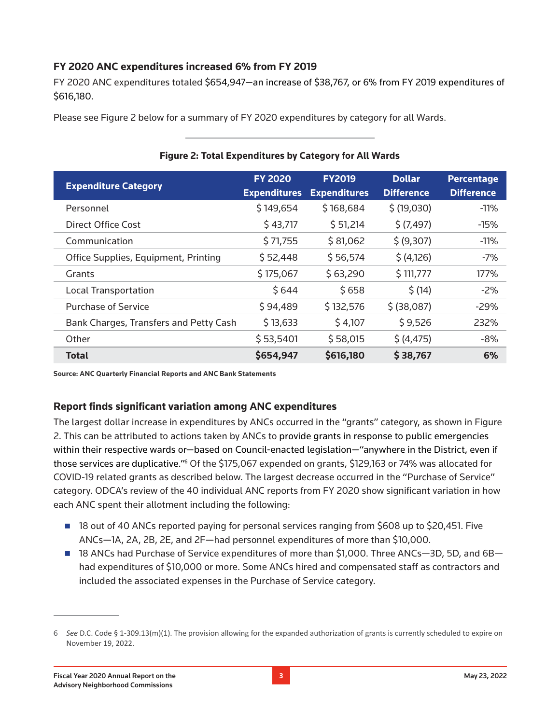### **FY 2020 ANC expenditures increased 6% from FY 2019**

FY 2020 ANC expenditures totaled \$654,947—an increase of \$38,767, or 6% from FY 2019 expenditures of \$616,180.

Please see Figure 2 below for a summary of FY 2020 expenditures by category for all Wards.

| <b>Expenditure Category</b>            | <b>FY 2020</b><br><b>Expenditures</b> | <b>FY2019</b><br><b>Expenditures</b> | <b>Dollar</b><br><b>Difference</b> | <b>Percentage</b><br><b>Difference</b> |
|----------------------------------------|---------------------------------------|--------------------------------------|------------------------------------|----------------------------------------|
| Personnel                              | \$149,654                             | \$168,684                            | \$(19,030)                         | $-11%$                                 |
| Direct Office Cost                     | \$43,717                              | \$51,214                             | \$ (7,497)                         | $-15%$                                 |
| Communication                          | \$71,755                              | \$81,062                             | \$ (9,307)                         | $-11\%$                                |
| Office Supplies, Equipment, Printing   | \$52,448                              | \$56,574                             | \$ (4,126)                         | $-7%$                                  |
| Grants                                 | \$175,067                             | \$63,290                             | \$111,777                          | 177%                                   |
| <b>Local Transportation</b>            | \$644                                 | \$658                                | \$ (14)                            | $-2%$                                  |
| <b>Purchase of Service</b>             | \$94,489                              | \$132,576                            | $$$ (38,087)                       | $-29%$                                 |
| Bank Charges, Transfers and Petty Cash | \$13,633                              | \$4,107                              | \$9,526                            | 232%                                   |
| Other                                  | \$53,5401                             | \$58,015                             | \$ (4, 475)                        | $-8%$                                  |
| Total                                  | \$654,947                             | \$616,180                            | \$38,767                           | 6%                                     |

#### **Figure 2: Total Expenditures by Category for All Wards**

**Source: ANC Quarterly Financial Reports and ANC Bank Statements**

### **Report finds significant variation among ANC expenditures**

The largest dollar increase in expenditures by ANCs occurred in the "grants" category, as shown in Figure 2. This can be attributed to actions taken by ANCs to provide grants in response to public emergencies within their respective wards or—based on Council-enacted legislation—"anywhere in the District, even if those services are duplicative."<sup>6</sup> Of the \$175,067 expended on grants, \$129,163 or 74% was allocated for COVID-19 related grants as described below. The largest decrease occurred in the "Purchase of Service" category. ODCA's review of the 40 individual ANC reports from FY 2020 show significant variation in how each ANC spent their allotment including the following:

- 18 out of 40 ANCs reported paying for personal services ranging from \$608 up to \$20,451. Five ANCs—1A, 2A, 2B, 2E, and 2F—had personnel expenditures of more than \$10,000.
- 18 ANCs had Purchase of Service expenditures of more than \$1,000. Three ANCs-3D, 5D, and 6Bhad expenditures of \$10,000 or more. Some ANCs hired and compensated staff as contractors and included the associated expenses in the Purchase of Service category.

<sup>6</sup> *See* D.C. Code § 1-309.13(m)(1). The provision allowing for the expanded authorization of grants is currently scheduled to expire on November 19, 2022.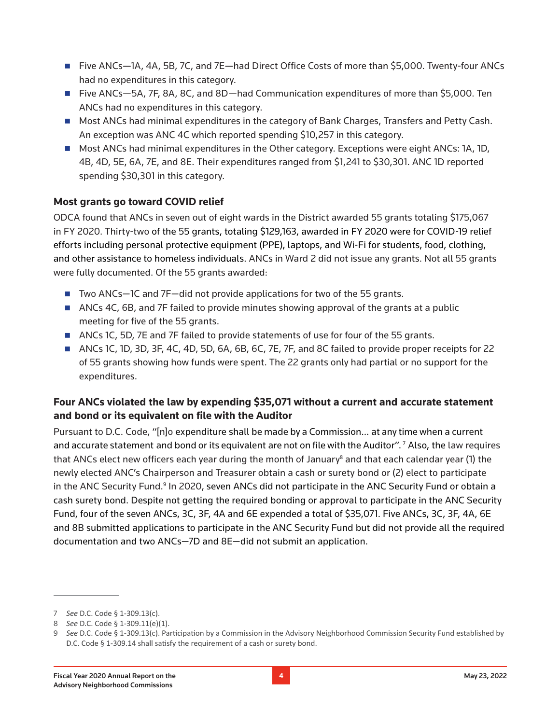- Five ANCs-1A, 4A, 5B, 7C, and 7E-had Direct Office Costs of more than \$5,000. Twenty-four ANCs had no expenditures in this category.
- Five ANCs—5A, 7F, 8A, 8C, and 8D—had Communication expenditures of more than \$5,000. Ten ANCs had no expenditures in this category.
- **Most ANCs had minimal expenditures in the category of Bank Charges, Transfers and Petty Cash.** An exception was ANC 4C which reported spending \$10,257 in this category.
- **Most ANCs had minimal expenditures in the Other category. Exceptions were eight ANCs: 1A, 1D,** 4B, 4D, 5E, 6A, 7E, and 8E. Their expenditures ranged from \$1,241 to \$30,301. ANC 1D reported spending \$30,301 in this category.

### **Most grants go toward COVID relief**

ODCA found that ANCs in seven out of eight wards in the District awarded 55 grants totaling \$175,067 in FY 2020. Thirty-two of the 55 grants, totaling \$129,163, awarded in FY 2020 were for COVID-19 relief efforts including personal protective equipment (PPE), laptops, and Wi-Fi for students, food, clothing, and other assistance to homeless individuals. ANCs in Ward 2 did not issue any grants. Not all 55 grants were fully documented. Of the 55 grants awarded:

- Two ANCs-1C and 7F-did not provide applications for two of the 55 grants.
- ANCs 4C, 6B, and 7F failed to provide minutes showing approval of the grants at a public meeting for five of the 55 grants.
- ANCs 1C, 5D, 7E and 7F failed to provide statements of use for four of the 55 grants.
- ANCs 1C, 1D, 3D, 3F, 4C, 4D, 5D, 6A, 6B, 6C, 7E, 7F, and 8C failed to provide proper receipts for 22 of 55 grants showing how funds were spent. The 22 grants only had partial or no support for the expenditures.

### **Four ANCs violated the law by expending \$35,071 without a current and accurate statement and bond or its equivalent on file with the Auditor**

Pursuant to D.C. Code, "[n]o expenditure shall be made by a Commission… at any time when a current and accurate statement and bond or its equivalent are not on file with the Auditor".<sup>7</sup> Also, the law requires that ANCs elect new officers each year during the month of January<sup>8</sup> and that each calendar year (1) the newly elected ANC's Chairperson and Treasurer obtain a cash or surety bond or (2) elect to participate in the ANC Security Fund.<sup>9</sup> In 2020, seven ANCs did not participate in the ANC Security Fund or obtain a cash surety bond. Despite not getting the required bonding or approval to participate in the ANC Security Fund, four of the seven ANCs, 3C, 3F, 4A and 6E expended a total of \$35,071. Five ANCs, 3C, 3F, 4A, 6E and 8B submitted applications to participate in the ANC Security Fund but did not provide all the required documentation and two ANCs—7D and 8E—did not submit an application.

<sup>7</sup> *See* D.C. Code § 1-309.13(c).

<sup>8</sup> *See* D.C. Code § 1-309.11(e)(1).

<sup>9</sup> *See* D.C. Code § 1-309.13(c). Participation by a Commission in the Advisory Neighborhood Commission Security Fund established by D.C. Code § 1-309.14 shall satisfy the requirement of a cash or surety bond.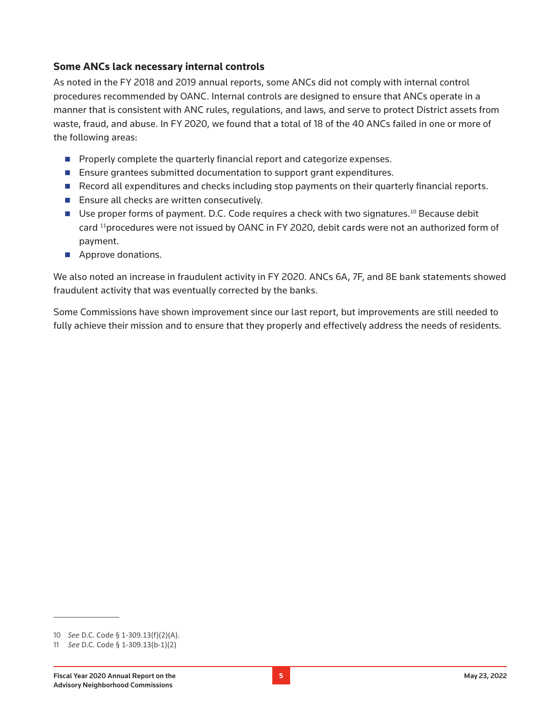#### **Some ANCs lack necessary internal controls**

As noted in the FY 2018 and 2019 annual reports, some ANCs did not comply with internal control procedures recommended by OANC. Internal controls are designed to ensure that ANCs operate in a manner that is consistent with ANC rules, regulations, and laws, and serve to protect District assets from waste, fraud, and abuse. In FY 2020, we found that a total of 18 of the 40 ANCs failed in one or more of the following areas:

- **Properly complete the quarterly financial report and categorize expenses.**
- **Ensure grantees submitted documentation to support grant expenditures.**
- Record all expenditures and checks including stop payments on their quarterly financial reports.
- **Ensure all checks are written consecutively.**
- **Use proper forms of payment. D.C. Code requires a check with two signatures.**<sup>10</sup> Because debit card <sup>11</sup>procedures were not issued by OANC in FY 2020, debit cards were not an authorized form of payment.
- **Approve donations.**

W[e also noted an increase in fraudulent activity in FY 2020. ANCs 6A, 7F, and 8E bank statements showed](https://dcauditor.ains.com/eCase/ShowRefAttachment.aspx?folderid=9435&templateId=0&fileguid=667db270-78d1-40bd-b75a-34511fd38d3b&height=1080&width=1920)  [fraudulent activity that was eventually corrected by the banks.](https://dcauditor.ains.com/eCase/ShowRefAttachment.aspx?folderid=9435&templateId=0&fileguid=667db270-78d1-40bd-b75a-34511fd38d3b&height=1080&width=1920)

Some Commissions have shown improvement since our last report, but improvements are still needed to fully achieve their mission and to ensure that they properly and effectively address the needs of residents.

<sup>10</sup> *See* D.C. Code § 1-309.13(f)(2)(A).

<sup>11</sup> *See* D.C. Code § 1-309.13(b-1)(2)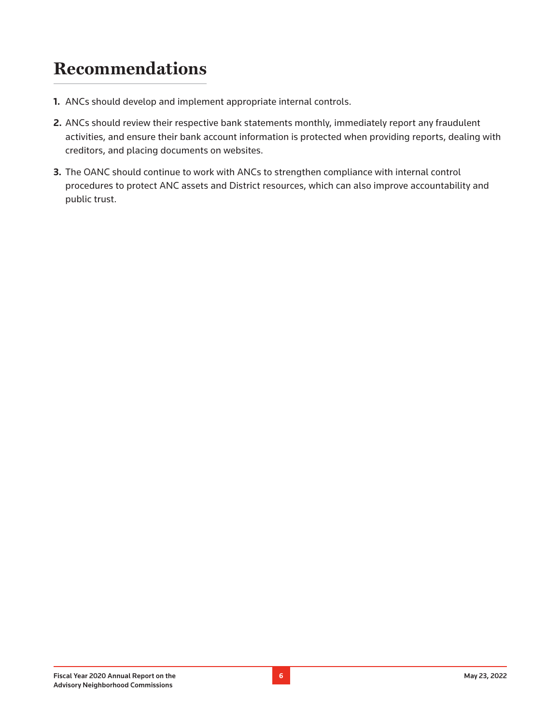### **Recommendations**

- **1.** ANCs should develop and implement appropriate internal controls.
- **2.** ANCs should review their respective bank statements monthly, immediately report any fraudulent activities, and ensure their bank account information is protected when providing reports, dealing with creditors, and placing documents on websites.
- **3.** The OANC should continue to work with ANCs to strengthen compliance with internal control procedures to protect ANC assets and District resources, which can also improve accountability and public trust.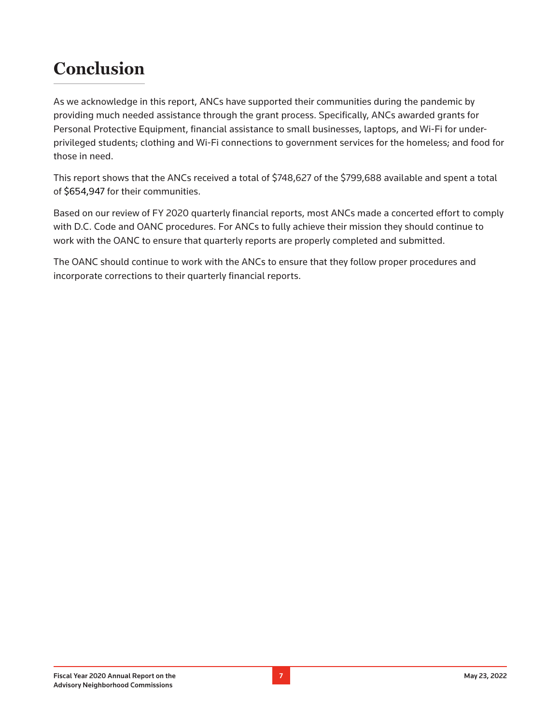### **Conclusion**

As we acknowledge in this report, ANCs have supported their communities during the pandemic by providing much needed assistance through the grant process. Specifically, ANCs awarded grants for Personal Protective Equipment, financial assistance to small businesses, laptops, and Wi-Fi for underprivileged students; clothing and Wi-Fi connections to government services for the homeless; and food for those in need.

This report shows that the ANCs received a total of \$748,627 of the \$799,688 available and spent a total of \$654,947 for their communities.

Based on our review of FY 2020 quarterly financial reports, most ANCs made a concerted effort to comply with D.C. Code and OANC procedures. For ANCs to fully achieve their mission they should continue to work with the OANC to ensure that quarterly reports are properly completed and submitted.

The OANC should continue to work with the ANCs to ensure that they follow proper procedures and incorporate corrections to their quarterly financial reports.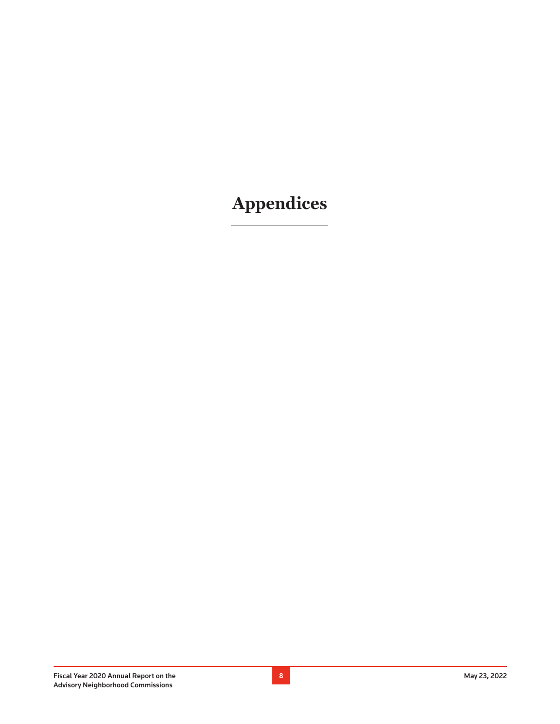# **Appendices**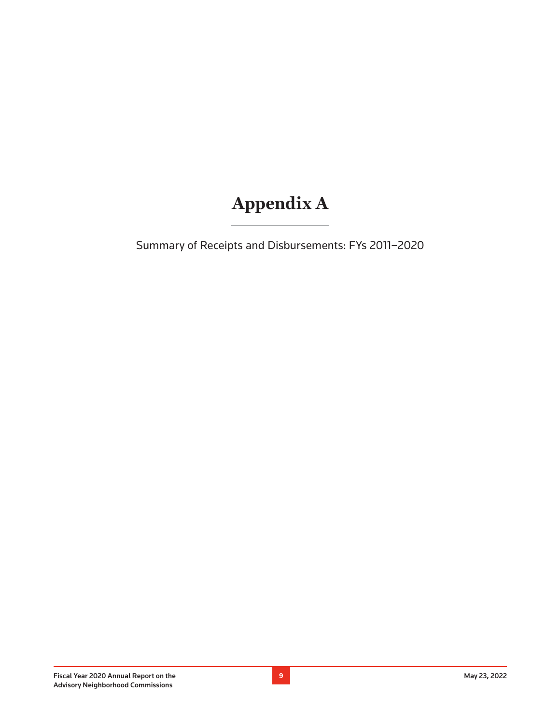# **Appendix A**

Summary of Receipts and Disbursements: FYs 2011–2020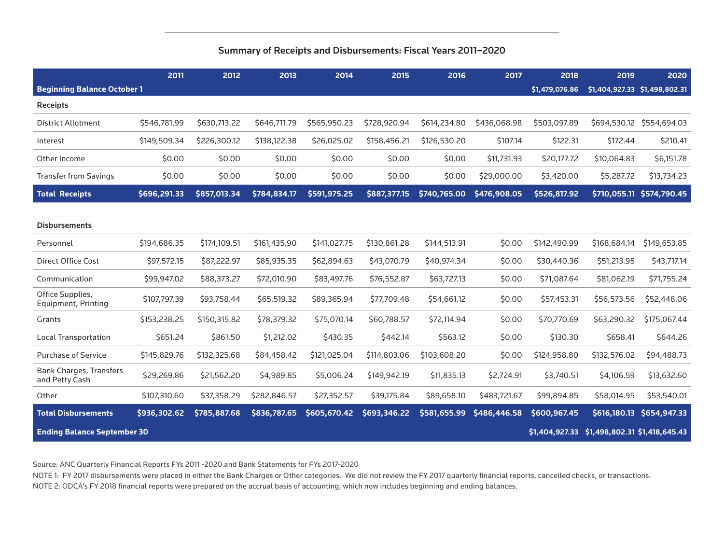#### Summary of Receipts and Disbursements: Fiscal Years 2011–2020

|                                                      | 2011         | 2012         | 2013         | 2014         | 2015         | 2016         | 2017         | 2018                          | 2019         | 2020                          |
|------------------------------------------------------|--------------|--------------|--------------|--------------|--------------|--------------|--------------|-------------------------------|--------------|-------------------------------|
| <b>Beginning Balance October 1</b>                   |              |              |              |              |              |              |              | \$1,479,076.86                |              | \$1,404,927.33 \$1,498,802.31 |
| <b>Receipts</b>                                      |              |              |              |              |              |              |              |                               |              |                               |
| <b>District Allotment</b>                            | \$546,781.99 | \$630,713.22 | \$646,711.79 | \$565,950.23 | \$728,920.94 | \$614,234.80 | \$436,068.98 | \$503,097.89                  |              | \$694,530.12 \$554,694.03     |
| Interest                                             | \$149,509.34 | \$226,300.12 | \$138,122.38 | \$26,025.02  | \$158,456.21 | \$126,530.20 | \$107.14     | \$122.31                      | \$172.44     | \$210.41                      |
| Other Income                                         | \$0.00       | \$0.00       | \$0.00       | \$0.00       | \$0.00       | \$0.00       | \$11,731.93  | \$20,177.72                   | \$10,064.83  | \$6,151.78                    |
| <b>Transfer from Savings</b>                         | \$0.00       | \$0.00       | \$0.00       | \$0.00       | \$0.00       | \$0.00       | \$29,000.00  | \$3,420.00                    | \$5,287.72   | \$13,734.23                   |
| <b>Total Receipts</b>                                | \$696,291.33 | \$857,013.34 | \$784,834.17 | \$591,975.25 | \$887,377.15 | \$740,765.00 | \$476,908.05 | \$526,817.92                  | \$710,055.11 | \$574,790.45                  |
|                                                      |              |              |              |              |              |              |              |                               |              |                               |
| <b>Disbursements</b>                                 |              |              |              |              |              |              |              |                               |              |                               |
| Personnel                                            | \$194,686.35 | \$174,109.51 | \$161,435.90 | \$141,027.75 | \$130,861.28 | \$144,513.91 | \$0.00       | \$142,490.99                  | \$168,684.14 | \$149,653.85                  |
| <b>Direct Office Cost</b>                            | \$97,572.15  | \$87,222.97  | \$85,935.35  | \$62,894.63  | \$43,070.79  | \$40,974.34  | \$0.00       | \$30,440.36                   | \$51,213.95  | \$43,717.14                   |
| Communication                                        | \$99,947.02  | \$88,373.27  | \$72,010.90  | \$83,497.76  | \$76,552.87  | \$63,727.13  | \$0.00       | \$71,087.64                   | \$81,062.19  | \$71,755.24                   |
| Office Supplies,<br>Equipment, Printing              | \$107,797.39 | \$93,758.44  | \$65,519.32  | \$89,365.94  | \$77,709.48  | \$54,661.12  | \$0.00       | \$57,453.31                   | \$56,573.56  | \$52,448.06                   |
| Grants                                               | \$153,238.25 | \$150,315.82 | \$78,379.32  | \$75,070.14  | \$60,788.57  | \$72,114.94  | \$0.00       | \$70,770.69                   | \$63,290.32  | \$175,067.44                  |
| <b>Local Transportation</b>                          | \$651.24     | \$861.50     | \$1,212.02   | \$430.35     | \$442.14     | \$563.12     | \$0.00       | \$130.30                      | \$658.41     | \$644.26                      |
| <b>Purchase of Service</b>                           | \$145,829.76 | \$132,325.68 | \$84,458.42  | \$121,025.04 | \$114,803.06 | \$103,608.20 | \$0.00       | \$124,958.80                  | \$132,576.02 | \$94,488.73                   |
| <b>Bank Charges, Transfers</b><br>and Petty Cash     | \$29,269.86  | \$21,562.20  | \$4,989.85   | \$5,006.24   | \$149,942.19 | \$11,835.13  | \$2,724.91   | \$3,740.51                    | \$4,106.59   | \$13,632.60                   |
| Other                                                | \$107,310.60 | \$37,358.29  | \$282,846.57 | \$27,352.57  | \$39,175.84  | \$89,658.10  | \$483,721.67 | \$99,894.85                   | \$58,014.95  | \$53,540.01                   |
| <b>Total Disbursements</b>                           | \$936,302.62 | \$785,887.68 | \$836,787.65 | \$605,670.42 | \$693,346.22 | \$581,655.99 | \$486,446.58 | \$600,967.45                  | \$616,180.13 | \$654,947.33                  |
| \$1,404,927.33<br><b>Ending Balance September 30</b> |              |              |              |              |              |              |              | \$1,498,802.31 \$1,418,645.43 |              |                               |

Source: ANC Quarterly Financial Reports FYs 2011 -2020 and Bank Statements for FYs 2017-2020

NOTE 1: FY 2017 disbursements were placed in either the Bank Charges or Other categories. We did not review the FY 2017 quarterly financial reports, cancelled checks, or transactions. NOTE 2: ODCA's FY 2018 financial reports were prepared on the accrual basis of accounting, which now includes beginning and ending balances.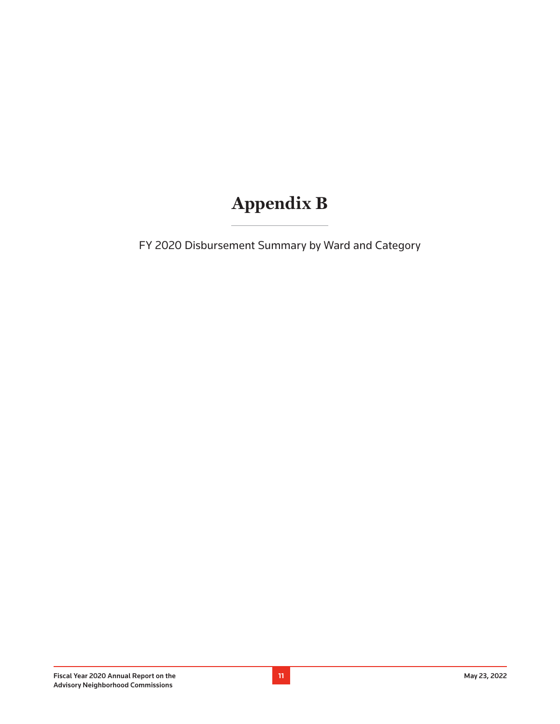### **Appendix B**

FY 2020 Disbursement Summary by Ward and Category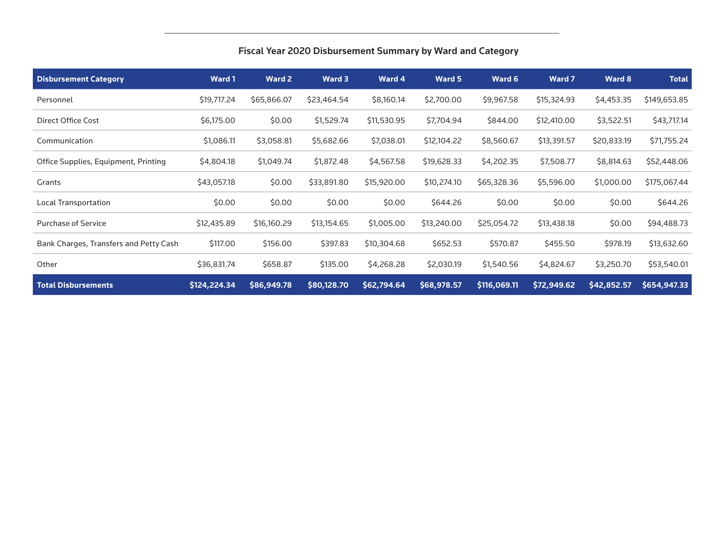| Fiscal Year 2020 Disbursement Summary by Ward and Category |  |  |  |  |  |  |
|------------------------------------------------------------|--|--|--|--|--|--|
|------------------------------------------------------------|--|--|--|--|--|--|

| <b>Disbursement Category</b>           | <b>Ward 1</b> | <b>Ward 2</b> | Ward 3      | Ward 4      | Ward 5      | Ward 6       | <b>Ward 7</b> | Ward 8      | <b>Total</b> |
|----------------------------------------|---------------|---------------|-------------|-------------|-------------|--------------|---------------|-------------|--------------|
| Personnel                              | \$19,717.24   | \$65,866.07   | \$23,464.54 | \$8,160.14  | \$2,700.00  | \$9,967.58   | \$15,324.93   | \$4,453.35  | \$149,653.85 |
| Direct Office Cost                     | \$6,175.00    | \$0.00        | \$1,529.74  | \$11,530.95 | \$7,704.94  | \$844.00     | \$12,410.00   | \$3,522.51  | \$43,717.14  |
| Communication                          | \$1,086.11    | \$3,058.81    | \$5,682.66  | \$7,038.01  | \$12,104.22 | \$8,560.67   | \$13,391.57   | \$20,833.19 | \$71,755.24  |
| Office Supplies, Equipment, Printing   | \$4,804.18    | \$1,049.74    | \$1,872.48  | \$4,567.58  | \$19,628.33 | \$4,202.35   | \$7,508.77    | \$8,814.63  | \$52,448.06  |
| Grants                                 | \$43,057.18   | \$0.00        | \$33,891.80 | \$15,920.00 | \$10,274.10 | \$65,328.36  | \$5,596.00    | \$1,000.00  | \$175,067.44 |
| <b>Local Transportation</b>            | \$0.00        | \$0.00        | \$0.00      | \$0.00      | \$644.26    | \$0.00       | \$0.00        | \$0.00      | \$644.26     |
| Purchase of Service                    | \$12,435.89   | \$16,160.29   | \$13,154.65 | \$1,005.00  | \$13,240.00 | \$25,054.72  | \$13,438.18   | \$0.00      | \$94,488.73  |
| Bank Charges, Transfers and Petty Cash | \$117.00      | \$156.00      | \$397.83    | \$10,304.68 | \$652.53    | \$570.87     | \$455.50      | \$978.19    | \$13,632.60  |
| Other                                  | \$36,831.74   | \$658.87      | \$135.00    | \$4,268.28  | \$2,030.19  | \$1,540.56   | \$4,824.67    | \$3,250.70  | \$53,540.01  |
| <b>Total Disbursements</b>             | \$124,224.34  | \$86,949.78   | \$80,128.70 | \$62,794.64 | \$68,978.57 | \$116,069.11 | \$72,949.62   | \$42,852.57 | \$654,947.33 |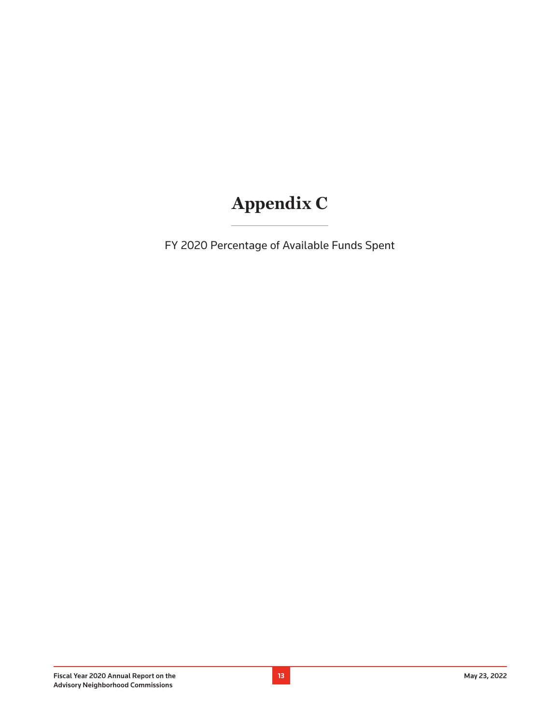# **Appendix C**

FY 2020 Percentage of Available Funds Spent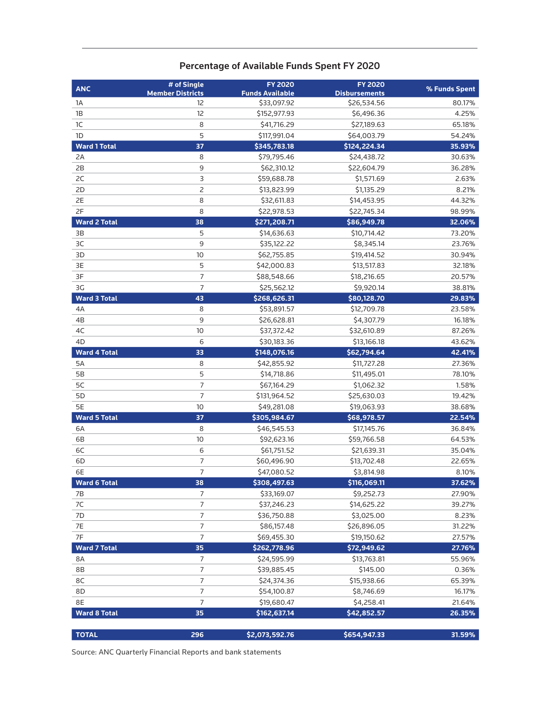### Percentage of Available Funds Spent FY 2020

| <b>ANC</b>          | # of Single<br><b>Member Districts</b> | <b>FY 2020</b><br><b>Funds Available</b> | <b>FY 2020</b><br><b>Disbursements</b> | % Funds Spent |  |  |
|---------------------|----------------------------------------|------------------------------------------|----------------------------------------|---------------|--|--|
| 1A                  | 12                                     | \$33,097.92                              | \$26,534.56                            | 80.17%        |  |  |
| 1B                  | 12                                     | \$152,977.93                             | \$6,496.36                             | 4.25%         |  |  |
| 1C                  | 8                                      | \$41,716.29                              | \$27,189.63                            | 65.18%        |  |  |
| 1 <sub>D</sub>      | 5                                      | \$117,991.04                             | \$64,003.79                            | 54.24%        |  |  |
| <b>Ward 1 Total</b> | 37                                     | \$345,783.18                             | \$124,224.34                           | 35.93%        |  |  |
| 2A                  | 8                                      | \$79,795.46                              | \$24,438.72                            | 30.63%        |  |  |
| 2B                  | 9                                      | \$62,310.12                              | \$22,604.79                            | 36.28%        |  |  |
| 2C                  | 3                                      | \$59,688.78                              | \$1,571.69                             | 2.63%         |  |  |
| 2D                  | 2                                      | \$13,823.99                              | \$1,135.29                             | 8.21%         |  |  |
| 2E                  | 8                                      | \$32,611.83                              | \$14,453.95                            | 44.32%        |  |  |
| 2F                  | 8                                      | \$22,978.53                              | \$22,745.34                            | 98.99%        |  |  |
| <b>Ward 2 Total</b> | 38                                     | \$271,208.71                             | \$86,949.78                            | 32.06%        |  |  |
| 3B                  | 5                                      | \$14,636.63                              | \$10,714.42                            | 73.20%        |  |  |
| 3C                  | 9                                      | \$35,122.22                              | \$8,345.14                             | 23.76%        |  |  |
| 3D                  | 10                                     | \$62,755.85                              | \$19,414.52                            | 30.94%        |  |  |
| 3E                  | 5                                      | \$42,000.83                              | \$13,517.83                            | 32.18%        |  |  |
| 3F                  | 7                                      | \$88,548.66                              | \$18,216.65                            | 20.57%        |  |  |
| 3G                  | 7                                      | \$25,562.12                              | \$9,920.14                             | 38.81%        |  |  |
| <b>Ward 3 Total</b> | 43                                     | \$268,626.31                             | \$80,128.70                            | 29.83%        |  |  |
| 4A                  | 8                                      | \$53,891.57                              | \$12,709.78                            | 23.58%        |  |  |
| 4B                  | 9                                      | \$26,628.81                              | \$4,307.79                             | 16.18%        |  |  |
| 4C                  | 10                                     | \$37,372.42                              | \$32,610.89                            | 87.26%        |  |  |
| 4D                  | 6                                      | \$30,183.36                              | \$13,166.18                            | 43.62%        |  |  |
| <b>Ward 4 Total</b> | 33                                     | \$148,076.16                             | \$62,794.64                            | 42.41%        |  |  |
| 5A                  | 8                                      | \$42,855.92                              | \$11,727.28                            | 27.36%        |  |  |
| <b>5B</b>           | 5                                      | \$14,718.86                              | \$11,495.01                            | 78.10%        |  |  |
| 5C                  | 7                                      | \$67,164.29                              | \$1,062.32                             | 1.58%         |  |  |
| 5D                  | $\overline{7}$                         | \$131,964.52                             | \$25,630.03                            | 19.42%        |  |  |
| 5E                  | 10                                     | \$49,281.08                              | \$19,063.93                            | 38.68%        |  |  |
| <b>Ward 5 Total</b> | 37                                     | \$305,984.67                             | \$68,978.57                            | 22.54%        |  |  |
| 6A                  | 8                                      | \$46,545.53                              | \$17,145.76                            | 36.84%        |  |  |
| 6B                  | 10                                     | \$92,623.16                              | \$59,766.58                            | 64.53%        |  |  |
| 6C                  | 6                                      | \$61,751.52                              | \$21,639.31                            | 35.04%        |  |  |
| 6D                  | 7                                      | \$60,496.90                              | \$13,702.48                            | 22.65%        |  |  |
| 6E                  | $\overline{7}$                         | \$47,080.52                              | \$3,814.98                             | 8.10%         |  |  |
| <b>Ward 6 Total</b> | 38                                     | \$308,497.63                             | \$116,069.11                           | 37.62%        |  |  |
| 7В                  | 7                                      | \$33,169.07                              | \$9,252.73                             | 27.90%        |  |  |
| 7C                  | $\overline{7}$                         | \$37,246.23                              | \$14,625.22                            | 39.27%        |  |  |
| 7D                  | $\overline{7}$                         | \$36,750.88                              | \$3,025.00                             | 8.23%         |  |  |
| 7E                  | $\overline{\phantom{a}}$               | \$86,157.48                              | \$26,896.05                            | 31.22%        |  |  |
| 7F                  | $\overline{\phantom{a}}$               | \$69,455.30                              | \$19,150.62                            | 27.57%        |  |  |
| <b>Ward 7 Total</b> | 35                                     | \$262,778.96                             | \$72,949.62                            | 27.76%        |  |  |
| 8A                  | $\overline{7}$                         | \$24,595.99                              | \$13,763.81                            | 55.96%        |  |  |
| 8B                  | $\boldsymbol{7}$                       | \$39,885.45                              | \$145.00                               | 0.36%         |  |  |
| 8C                  | $\boldsymbol{7}$                       | \$24,374.36                              | \$15,938.66                            | 65.39%        |  |  |
| 8D                  | $\overline{7}$                         | \$54,100.87                              | \$8,746.69                             | 16.17%        |  |  |
| 8E                  | $\overline{7}$                         | \$19,680.47                              | \$4,258.41                             | 21.64%        |  |  |
| <b>Ward 8 Total</b> | 35                                     | \$162,637.14                             | \$42,852.57                            | 26.35%        |  |  |
|                     |                                        |                                          |                                        |               |  |  |
| <b>TOTAL</b>        | 296                                    | \$2,073,592.76                           | \$654,947.33                           | 31.59%        |  |  |

Source: ANC Quarterly Financial Reports and bank statements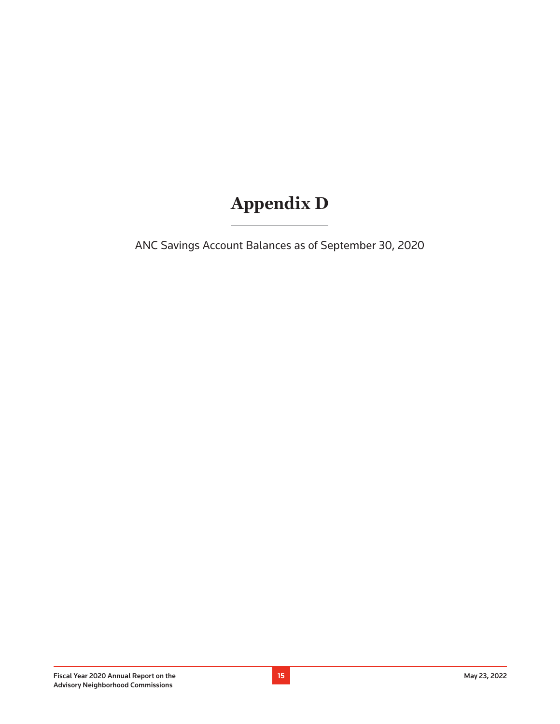### **Appendix D**

ANC Savings Account Balances as of September 30, 2020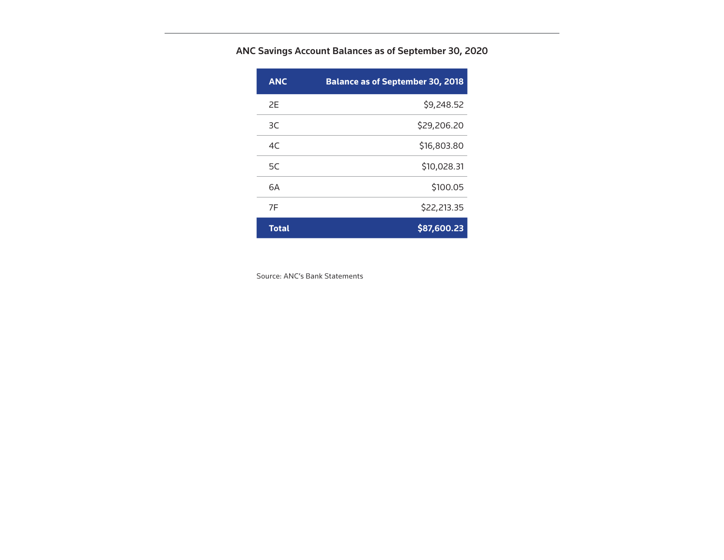ANC Savings Account Balances as of September 30, 2020

| <b>ANC</b>   | <b>Balance as of September 30, 2018</b> |
|--------------|-----------------------------------------|
| 2F           | \$9,248.52                              |
| 3C           | \$29,206.20                             |
| 4C           | \$16,803.80                             |
| 5C           | \$10,028.31                             |
| 6A           | \$100.05                                |
| 7F           | \$22,213.35                             |
| <b>Total</b> | \$87,600.23                             |

Source: ANC's Bank Statements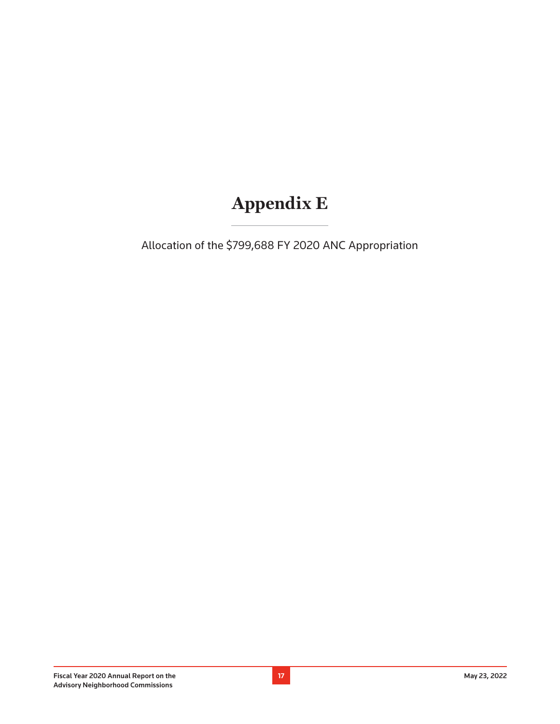### **Appendix E**

Allocation of the \$799,688 FY 2020 ANC Appropriation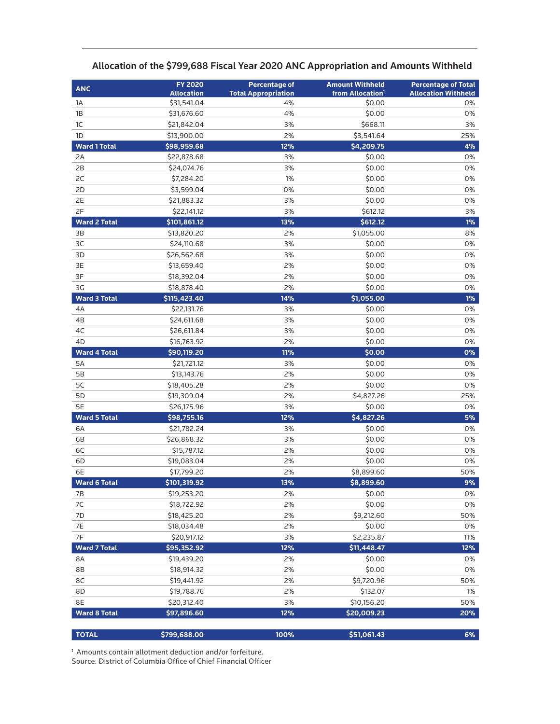| <b>ANC</b>          | <b>FY 2020</b>             | <b>Percentage of</b>       | <b>Amount Withheld</b>       | <b>Percentage of Total</b> |
|---------------------|----------------------------|----------------------------|------------------------------|----------------------------|
|                     | <b>Allocation</b>          | <b>Total Appropriation</b> | from Allocation <sup>1</sup> | <b>Allocation Withheld</b> |
| 1A                  | \$31,541.04                | 4%                         | \$0.00                       | 0%                         |
| 1B                  | \$31,676.60                | 4%                         | \$0.00                       | 0%                         |
| 1C                  | \$21,842.04                | 3%                         | \$668.11                     | 3%                         |
| 1D                  | \$13,900.00                | 2%                         | \$3,541.64                   | 25%                        |
| <b>Ward 1 Total</b> | \$98,959.68                | 12%                        | \$4,209.75                   | 4%                         |
| 2A                  | \$22,878.68                | 3%                         | \$0.00                       | 0%                         |
| 2B                  | \$24,074.76                | 3%                         | \$0.00                       | 0%                         |
| 2C                  | \$7,284.20                 | 1%                         | \$0.00                       | 0%                         |
| 2D                  | \$3,599.04                 | 0%                         | \$0.00                       | 0%                         |
| 2E                  | \$21,883.32                | 3%                         | \$0.00                       | 0%                         |
| 2F                  | \$22,141.12                | 3%                         | \$612.12                     | 3%                         |
| <b>Ward 2 Total</b> | \$101,861.12               | 13%                        | \$612.12                     | $1\%$                      |
| 3B                  | \$13,820.20                | 2%                         | \$1,055.00                   | 8%                         |
| 3C                  | \$24,110.68                | 3%                         | \$0.00                       | 0%                         |
| 3D                  | \$26,562.68                | 3%                         | \$0.00                       | 0%                         |
| 3E                  | \$13,659.40                | 2%                         | \$0.00                       | 0%                         |
| 3F                  | \$18,392.04                | 2%                         | \$0.00                       | 0%                         |
| 3G                  | \$18,878.40                | 2%                         | \$0.00                       | 0%                         |
| <b>Ward 3 Total</b> | \$115,423.40               | 14%                        | \$1,055.00                   | $1\%$                      |
| 4A                  | \$22,131.76                | 3%                         | \$0.00                       | 0%                         |
| 4B                  | \$24,611.68                | 3%                         | \$0.00                       | 0%                         |
| 4C                  | \$26,611.84                | 3%                         | \$0.00                       | 0%                         |
| 4D                  | \$16,763.92                | 2%                         | \$0.00                       | 0%                         |
| <b>Ward 4 Total</b> | \$90,119.20                | 11%                        | \$0.00                       | 0%                         |
| 5A<br>5B            | \$21,721.12                | 3%<br>2%                   | \$0.00<br>\$0.00             | 0%<br>0%                   |
| 5C                  | \$13,143.76<br>\$18,405.28 | 2%                         | \$0.00                       | 0%                         |
| 5D                  | \$19,309.04                | 2%                         | \$4,827.26                   | 25%                        |
| 5E                  | \$26,175.96                | 3%                         | \$0.00                       | 0%                         |
| <b>Ward 5 Total</b> | \$98,755.16                | 12%                        | \$4,827.26                   | 5%                         |
| 6A                  | \$21,782.24                | 3%                         | \$0.00                       | 0%                         |
| 6B                  | \$26,868.32                | 3%                         | \$0.00                       | 0%                         |
| 6C                  | \$15,787.12                | 2%                         | \$0.00                       | 0%                         |
| 6D                  | \$19,083.04                | 2%                         | \$0.00                       | 0%                         |
| 6E                  | \$17,799.20                | 2%                         | \$8,899.60                   | 50%                        |
| <b>Ward 6 Total</b> | \$101,319.92               | 13%                        | \$8,899.60                   | 9%                         |
| 7В                  | \$19,253.20                | 2%                         | \$0.00                       | 0%                         |
| 7C                  | \$18,722.92                | 2%                         | \$0.00                       | 0%                         |
| 7D                  | \$18,425.20                | 2%                         | \$9,212.60                   | 50%                        |
| 7E                  | \$18,034.48                | 2%                         | \$0.00                       | 0%                         |
| 7F                  | \$20,917.12                | 3%                         | \$2,235.87                   | 11%                        |
| <b>Ward 7 Total</b> | \$95,352.92                | 12%                        | \$11,448.47                  | 12%                        |
| 8A                  | \$19,439.20                | 2%                         | \$0.00                       | 0%                         |
| 8B                  | \$18,914.32                | 2%                         | \$0.00                       | 0%                         |
| 8C                  | \$19,441.92                | 2%                         | \$9,720.96                   | 50%                        |
| 8D                  | \$19,788.76                | 2%                         | \$132.07                     | 1%                         |
| 8E                  | \$20,312.40                | 3%                         | \$10,156.20                  | 50%                        |
| <b>Ward 8 Total</b> | \$97,896.60                | 12%                        | \$20,009.23                  | 20%                        |
|                     |                            |                            |                              |                            |
| <b>TOTAL</b>        | \$799,688.00               | 100%                       | \$51,061.43                  | 6%                         |

#### Allocation of the \$799,688 Fiscal Year 2020 ANC Appropriation and Amounts Withheld

1 Amounts contain allotment deduction and/or forfeiture.

Source: District of Columbia Office of Chief Financial Officer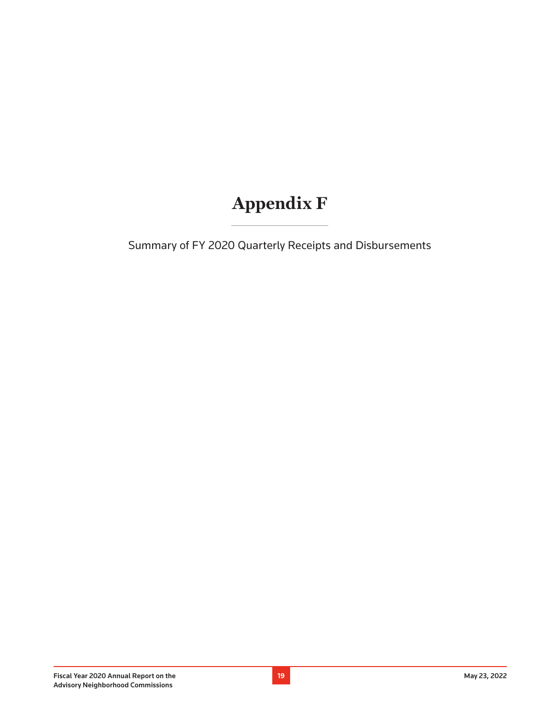# **Appendix F**

Summary of FY 2020 Quarterly Receipts and Disbursements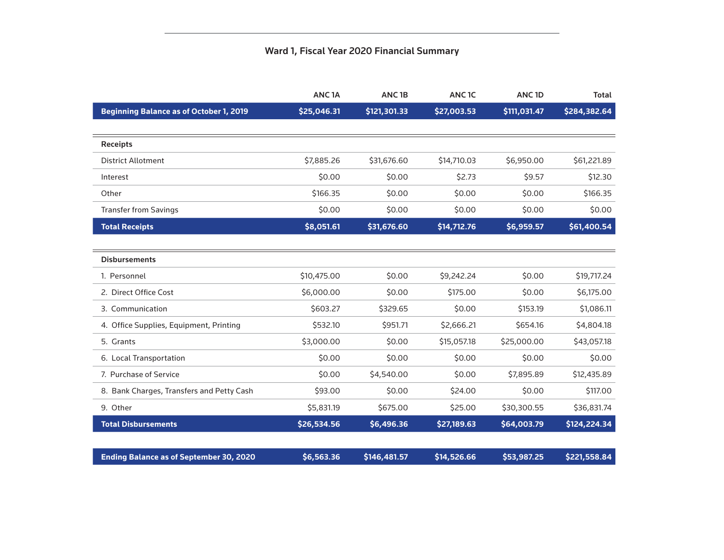#### Ward 1, Fiscal Year 2020 Financial Summary

|                                                | ANC <sub>1</sub> A | ANC <sub>1B</sub> | ANC <sub>1C</sub> | ANC <sub>1D</sub> | <b>Total</b> |
|------------------------------------------------|--------------------|-------------------|-------------------|-------------------|--------------|
| <b>Beginning Balance as of October 1, 2019</b> | \$25,046.31        | \$121,301.33      | \$27,003.53       | \$111,031.47      | \$284,382.64 |
|                                                |                    |                   |                   |                   |              |
| <b>Receipts</b>                                |                    |                   |                   |                   |              |
| <b>District Allotment</b>                      | \$7,885.26         | \$31,676.60       | \$14,710.03       | \$6,950.00        | \$61,221.89  |
| Interest                                       | \$0.00             | \$0.00            | \$2.73            | \$9.57            | \$12.30      |
| Other                                          | \$166.35           | \$0.00            | \$0.00            | \$0.00            | \$166.35     |
| <b>Transfer from Savings</b>                   | \$0.00             | \$0.00            | \$0.00            | \$0.00            | \$0.00       |
| <b>Total Receipts</b>                          | \$8,051.61         | \$31,676.60       | \$14,712.76       | \$6,959.57        | \$61,400.54  |
|                                                |                    |                   |                   |                   |              |
| <b>Disbursements</b>                           |                    |                   |                   |                   |              |
| 1. Personnel                                   | \$10,475.00        | \$0.00            | \$9,242.24        | \$0.00            | \$19,717.24  |
| 2. Direct Office Cost                          | \$6,000.00         | \$0.00            | \$175.00          | \$0.00            | \$6,175.00   |
| 3. Communication                               | \$603.27           | \$329.65          | \$0.00            | \$153.19          | \$1,086.11   |
| 4. Office Supplies, Equipment, Printing        | \$532.10           | \$951.71          | \$2,666.21        | \$654.16          | \$4,804.18   |
| 5. Grants                                      | \$3,000.00         | \$0.00            | \$15,057.18       | \$25,000.00       | \$43,057.18  |
| 6. Local Transportation                        | \$0.00             | \$0.00            | \$0.00            | \$0.00            | \$0.00       |
| 7. Purchase of Service                         | \$0.00             | \$4,540.00        | \$0.00            | \$7,895.89        | \$12,435.89  |
| 8. Bank Charges, Transfers and Petty Cash      | \$93.00            | \$0.00            | \$24.00           | \$0.00            | \$117.00     |
| 9. Other                                       | \$5,831.19         | \$675.00          | \$25.00           | \$30,300.55       | \$36,831.74  |
| <b>Total Disbursements</b>                     | \$26,534.56        | \$6,496.36        | \$27,189.63       | \$64,003.79       | \$124,224.34 |
|                                                |                    |                   |                   |                   |              |
| <b>Ending Balance as of September 30, 2020</b> | \$6,563.36         | \$146,481.57      | \$14,526.66       | \$53,987.25       | \$221,558.84 |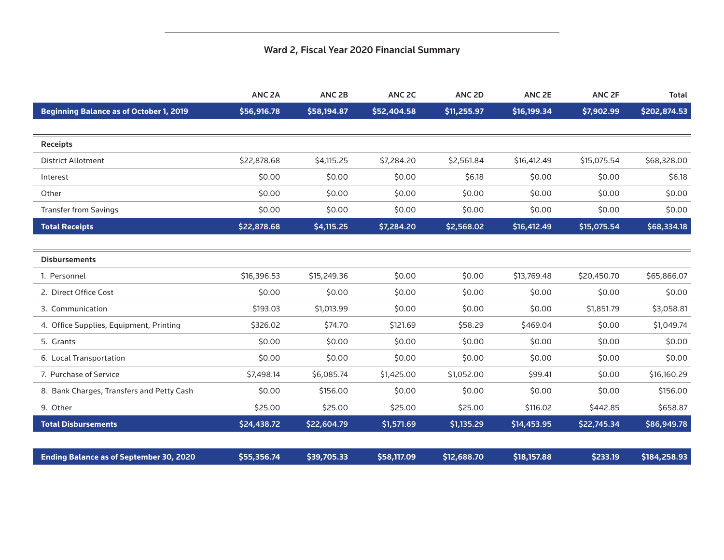### Ward 2, Fiscal Year 2020 Financial Summary

|                                                | ANC <sub>2A</sub> | ANC <sub>2B</sub> | ANC <sub>2C</sub> | ANC <sub>2D</sub> | ANC <sub>2E</sub> | ANC <sub>2F</sub> | <b>Total</b> |
|------------------------------------------------|-------------------|-------------------|-------------------|-------------------|-------------------|-------------------|--------------|
| <b>Beginning Balance as of October 1, 2019</b> | \$56,916.78       | \$58,194.87       | \$52,404.58       | \$11,255.97       | \$16,199.34       | \$7,902.99        | \$202,874.53 |
|                                                |                   |                   |                   |                   |                   |                   |              |
| <b>Receipts</b>                                |                   |                   |                   |                   |                   |                   |              |
| <b>District Allotment</b>                      | \$22,878.68       | \$4,115.25        | \$7,284.20        | \$2,561.84        | \$16,412.49       | \$15,075.54       | \$68,328.00  |
| Interest                                       | \$0.00            | \$0.00            | \$0.00            | \$6.18            | \$0.00            | \$0.00            | \$6.18       |
| Other                                          | \$0.00            | \$0.00            | \$0.00            | \$0.00            | \$0.00            | \$0.00            | \$0.00       |
| <b>Transfer from Savings</b>                   | \$0.00            | \$0.00            | \$0.00            | \$0.00            | \$0.00            | \$0.00            | \$0.00       |
| <b>Total Receipts</b>                          | \$22,878.68       | \$4,115.25        | \$7,284.20        | \$2,568.02        | \$16,412.49       | \$15,075.54       | \$68,334.18  |
|                                                |                   |                   |                   |                   |                   |                   |              |
| <b>Disbursements</b>                           |                   |                   |                   |                   |                   |                   |              |
| 1. Personnel                                   | \$16,396.53       | \$15,249.36       | \$0.00            | \$0.00            | \$13,769.48       | \$20,450.70       | \$65,866.07  |
| 2. Direct Office Cost                          | \$0.00            | \$0.00            | \$0.00            | \$0.00            | \$0.00            | \$0.00            | \$0.00       |
| 3. Communication                               | \$193.03          | \$1,013.99        | \$0.00            | \$0.00            | \$0.00            | \$1,851.79        | \$3,058.81   |
| 4. Office Supplies, Equipment, Printing        | \$326.02          | \$74.70           | \$121.69          | \$58.29           | \$469.04          | \$0.00            | \$1,049.74   |
| 5. Grants                                      | \$0.00            | \$0.00            | \$0.00            | \$0.00            | \$0.00            | \$0.00            | \$0.00       |
| 6. Local Transportation                        | \$0.00            | \$0.00            | \$0.00            | \$0.00            | \$0.00            | \$0.00            | \$0.00       |
| 7. Purchase of Service                         | \$7,498.14        | \$6,085.74        | \$1,425.00        | \$1,052.00        | \$99.41           | \$0.00            | \$16,160.29  |
| 8. Bank Charges, Transfers and Petty Cash      | \$0.00            | \$156.00          | \$0.00            | \$0.00            | \$0.00            | \$0.00            | \$156.00     |
| 9. Other                                       | \$25.00           | \$25.00           | \$25.00           | \$25.00           | \$116.02          | \$442.85          | \$658.87     |
| <b>Total Disbursements</b>                     | \$24,438.72       | \$22,604.79       | \$1,571.69        | \$1,135.29        | \$14,453.95       | \$22,745.34       | \$86,949.78  |
|                                                |                   |                   |                   |                   |                   |                   |              |
| <b>Ending Balance as of September 30, 2020</b> | \$55,356.74       | \$39,705.33       | \$58,117.09       | \$12,688.70       | \$18,157.88       | \$233.19          | \$184,258.93 |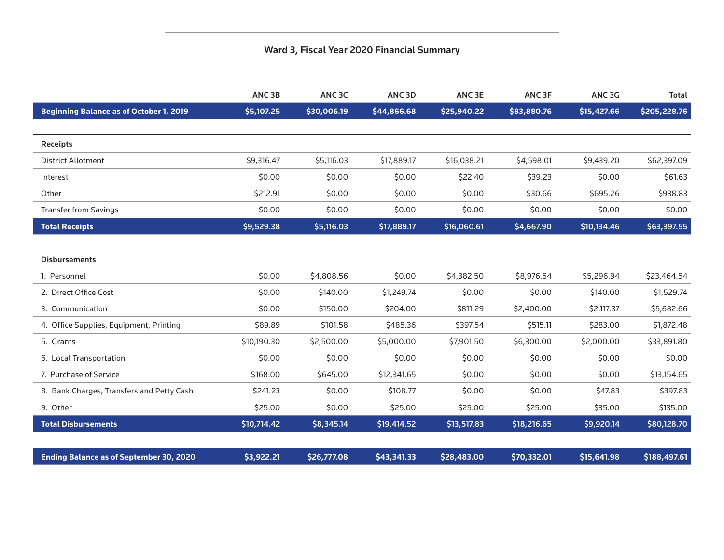### Ward 3, Fiscal Year 2020 Financial Summary

|                                                | ANC <sub>3B</sub> | ANC <sub>3C</sub> | ANC <sub>3D</sub> | ANC <sub>3E</sub> | ANC <sub>3F</sub> | ANC <sub>3G</sub> | <b>Total</b> |
|------------------------------------------------|-------------------|-------------------|-------------------|-------------------|-------------------|-------------------|--------------|
| <b>Beginning Balance as of October 1, 2019</b> | \$5,107.25        | \$30,006.19       | \$44,866.68       | \$25,940.22       | \$83,880.76       | \$15,427.66       | \$205,228.76 |
|                                                |                   |                   |                   |                   |                   |                   |              |
| <b>Receipts</b>                                |                   |                   |                   |                   |                   |                   |              |
| <b>District Allotment</b>                      | \$9,316.47        | \$5,116.03        | \$17,889.17       | \$16,038.21       | \$4,598.01        | \$9,439.20        | \$62,397.09  |
| Interest                                       | \$0.00            | \$0.00            | \$0.00            | \$22.40           | \$39.23           | \$0.00            | \$61.63      |
| Other                                          | \$212.91          | \$0.00            | \$0.00            | \$0.00            | \$30.66           | \$695.26          | \$938.83     |
| <b>Transfer from Savings</b>                   | \$0.00            | \$0.00            | \$0.00            | \$0.00            | \$0.00            | \$0.00            | \$0.00       |
| <b>Total Receipts</b>                          | \$9,529.38        | \$5,116.03        | \$17,889.17       | \$16,060.61       | \$4,667.90        | \$10,134.46       | \$63,397.55  |
|                                                |                   |                   |                   |                   |                   |                   |              |
| <b>Disbursements</b>                           |                   |                   |                   |                   |                   |                   |              |
| 1. Personnel                                   | \$0.00            | \$4,808.56        | \$0.00            | \$4,382.50        | \$8,976.54        | \$5,296.94        | \$23,464.54  |
| 2. Direct Office Cost                          | \$0.00            | \$140.00          | \$1,249.74        | \$0.00            | \$0.00            | \$140.00          | \$1,529.74   |
| 3. Communication                               | \$0.00            | \$150.00          | \$204.00          | \$811.29          | \$2,400.00        | \$2,117.37        | \$5,682.66   |
| 4. Office Supplies, Equipment, Printing        | \$89.89           | \$101.58          | \$485.36          | \$397.54          | \$515.11          | \$283.00          | \$1,872.48   |
| 5. Grants                                      | \$10,190.30       | \$2,500.00        | \$5,000.00        | \$7,901.50        | \$6,300.00        | \$2,000.00        | \$33,891.80  |
| 6. Local Transportation                        | \$0.00            | \$0.00            | \$0.00            | \$0.00            | \$0.00            | \$0.00            | \$0.00       |
| 7. Purchase of Service                         | \$168.00          | \$645.00          | \$12,341.65       | \$0.00            | \$0.00            | \$0.00            | \$13,154.65  |
| 8. Bank Charges, Transfers and Petty Cash      | \$241.23          | \$0.00            | \$108.77          | \$0.00            | \$0.00            | \$47.83           | \$397.83     |
| 9. Other                                       | \$25.00           | \$0.00            | \$25.00           | \$25.00           | \$25.00           | \$35.00           | \$135.00     |
| <b>Total Disbursements</b>                     | \$10,714.42       | \$8,345.14        | \$19,414.52       | \$13,517.83       | \$18,216.65       | \$9,920.14        | \$80,128.70  |
|                                                |                   |                   |                   |                   |                   |                   |              |
| <b>Ending Balance as of September 30, 2020</b> | \$3,922.21        | \$26,777.08       | \$43,341.33       | \$28,483.00       | \$70,332.01       | \$15,641.98       | \$188,497.61 |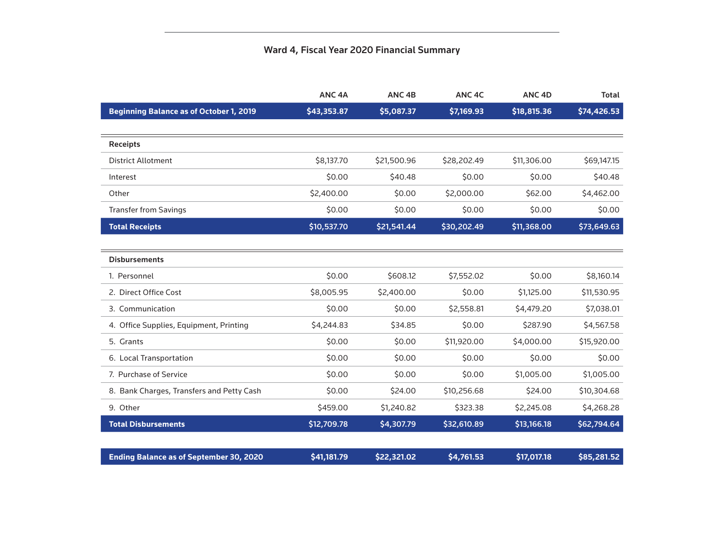### Ward 4, Fiscal Year 2020 Financial Summary

|                                                | ANC <sub>4A</sub> | ANC <sub>4B</sub> | ANC <sub>4C</sub> | ANC <sub>4D</sub> | <b>Total</b> |
|------------------------------------------------|-------------------|-------------------|-------------------|-------------------|--------------|
| <b>Beginning Balance as of October 1, 2019</b> | \$43,353.87       | \$5,087.37        | \$7,169.93        | \$18,815.36       | \$74,426.53  |
|                                                |                   |                   |                   |                   |              |
| <b>Receipts</b>                                |                   |                   |                   |                   |              |
| <b>District Allotment</b>                      | \$8,137.70        | \$21,500.96       | \$28,202.49       | \$11,306.00       | \$69,147.15  |
| Interest                                       | \$0.00            | \$40.48           | \$0.00            | \$0.00            | \$40.48      |
| Other                                          | \$2,400.00        | \$0.00            | \$2,000.00        | \$62.00           | \$4,462.00   |
| <b>Transfer from Savings</b>                   | \$0.00            | \$0.00            | \$0.00            | \$0.00            | \$0.00       |
| <b>Total Receipts</b>                          | \$10,537.70       | \$21,541.44       | \$30,202.49       | \$11,368.00       | \$73,649.63  |
|                                                |                   |                   |                   |                   |              |
| <b>Disbursements</b>                           |                   |                   |                   |                   |              |
| 1. Personnel                                   | \$0.00            | \$608.12          | \$7,552.02        | \$0.00            | \$8,160.14   |
| 2. Direct Office Cost                          | \$8,005.95        | \$2,400.00        | \$0.00            | \$1,125.00        | \$11,530.95  |
| 3. Communication                               | \$0.00            | \$0.00            | \$2,558.81        | \$4,479.20        | \$7,038.01   |
| 4. Office Supplies, Equipment, Printing        | \$4,244.83        | \$34.85           | \$0.00            | \$287.90          | \$4,567.58   |
| 5. Grants                                      | \$0.00            | \$0.00            | \$11,920.00       | \$4,000.00        | \$15,920.00  |
| 6. Local Transportation                        | \$0.00            | \$0.00            | \$0.00            | \$0.00            | \$0.00       |
| 7. Purchase of Service                         | \$0.00            | \$0.00            | \$0.00            | \$1,005.00        | \$1,005.00   |
| 8. Bank Charges, Transfers and Petty Cash      | \$0.00            | \$24.00           | \$10,256.68       | \$24.00           | \$10,304.68  |
| 9. Other                                       | \$459.00          | \$1,240.82        | \$323.38          | \$2,245.08        | \$4,268.28   |
| <b>Total Disbursements</b>                     | \$12,709.78       | \$4,307.79        | \$32,610.89       | \$13,166.18       | \$62,794.64  |
|                                                |                   |                   |                   |                   |              |
| <b>Ending Balance as of September 30, 2020</b> | \$41,181.79       | \$22,321.02       | \$4,761.53        | \$17,017.18       | \$85,281.52  |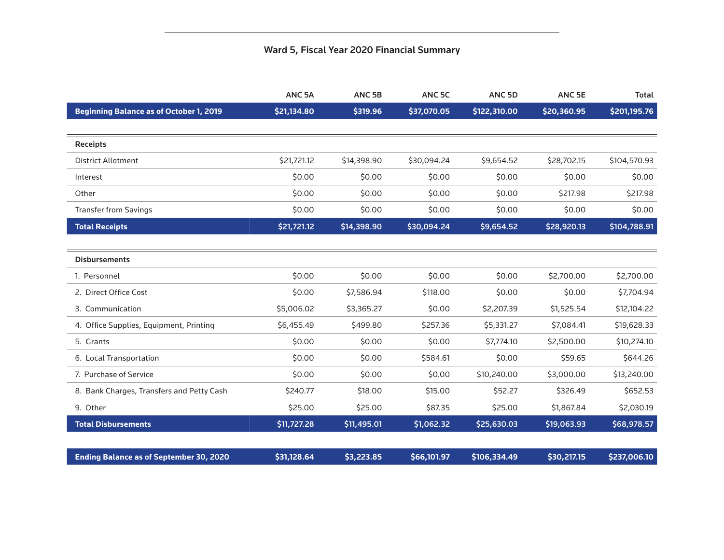### Ward 5, Fiscal Year 2020 Financial Summary

|                                                | ANC <sub>5A</sub> | ANC <sub>5B</sub> | ANC <sub>5C</sub> | ANC <sub>5D</sub> | ANC <sub>5E</sub> | <b>Total</b> |
|------------------------------------------------|-------------------|-------------------|-------------------|-------------------|-------------------|--------------|
| <b>Beginning Balance as of October 1, 2019</b> | \$21,134.80       | \$319.96          | \$37,070.05       | \$122,310.00      | \$20,360.95       | \$201,195.76 |
|                                                |                   |                   |                   |                   |                   |              |
| <b>Receipts</b>                                |                   |                   |                   |                   |                   |              |
| <b>District Allotment</b>                      | \$21,721.12       | \$14,398.90       | \$30,094.24       | \$9,654.52        | \$28,702.15       | \$104,570.93 |
| Interest                                       | \$0.00            | \$0.00            | \$0.00            | \$0.00            | \$0.00            | \$0.00       |
| Other                                          | \$0.00            | \$0.00            | \$0.00            | \$0.00            | \$217.98          | \$217.98     |
| <b>Transfer from Savings</b>                   | \$0.00            | \$0.00            | \$0.00            | \$0.00            | \$0.00            | \$0.00       |
| <b>Total Receipts</b>                          | \$21,721.12       | \$14,398.90       | \$30,094.24       | \$9,654.52        | \$28,920.13       | \$104,788.91 |
|                                                |                   |                   |                   |                   |                   |              |
| <b>Disbursements</b>                           |                   |                   |                   |                   |                   |              |
| 1. Personnel                                   | \$0.00            | \$0.00            | \$0.00            | \$0.00            | \$2,700.00        | \$2,700.00   |
| 2. Direct Office Cost                          | \$0.00            | \$7,586.94        | \$118.00          | \$0.00            | \$0.00            | \$7,704.94   |
| 3. Communication                               | \$5,006.02        | \$3,365.27        | \$0.00            | \$2,207.39        | \$1,525.54        | \$12,104.22  |
| 4. Office Supplies, Equipment, Printing        | \$6,455.49        | \$499.80          | \$257.36          | \$5,331.27        | \$7,084.41        | \$19,628.33  |
| 5. Grants                                      | \$0.00            | \$0.00            | \$0.00            | \$7,774.10        | \$2,500.00        | \$10,274.10  |
| 6. Local Transportation                        | \$0.00            | \$0.00            | \$584.61          | \$0.00            | \$59.65           | \$644.26     |
| 7. Purchase of Service                         | \$0.00            | \$0.00            | \$0.00            | \$10,240.00       | \$3,000.00        | \$13,240.00  |
| 8. Bank Charges, Transfers and Petty Cash      | \$240.77          | \$18.00           | \$15.00           | \$52.27           | \$326.49          | \$652.53     |
| 9. Other                                       | \$25.00           | \$25.00           | \$87.35           | \$25.00           | \$1,867.84        | \$2,030.19   |
| <b>Total Disbursements</b>                     | \$11,727.28       | \$11,495.01       | \$1,062.32        | \$25,630.03       | \$19,063.93       | \$68,978.57  |
|                                                |                   |                   |                   |                   |                   |              |
| <b>Ending Balance as of September 30, 2020</b> | \$31,128.64       | \$3,223.85        | \$66,101.97       | \$106,334.49      | \$30,217.15       | \$237,006.10 |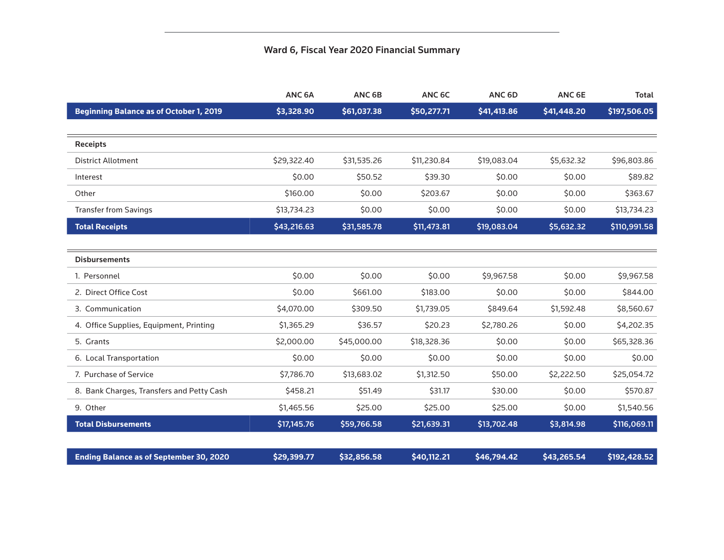### Ward 6, Fiscal Year 2020 Financial Summary

|                                                | ANC <sub>6A</sub> | ANC <sub>6B</sub> | ANC 6C      | ANC <sub>6D</sub> | ANC <sub>6E</sub> | <b>Total</b> |
|------------------------------------------------|-------------------|-------------------|-------------|-------------------|-------------------|--------------|
| <b>Beginning Balance as of October 1, 2019</b> | \$3,328.90        | \$61,037.38       | \$50,277.71 | \$41,413.86       | \$41,448.20       | \$197,506.05 |
|                                                |                   |                   |             |                   |                   |              |
| <b>Receipts</b>                                |                   |                   |             |                   |                   |              |
| <b>District Allotment</b>                      | \$29,322.40       | \$31,535.26       | \$11,230.84 | \$19,083.04       | \$5,632.32        | \$96,803.86  |
| Interest                                       | \$0.00            | \$50.52           | \$39.30     | \$0.00            | \$0.00            | \$89.82      |
| Other                                          | \$160.00          | \$0.00            | \$203.67    | \$0.00            | \$0.00            | \$363.67     |
| <b>Transfer from Savings</b>                   | \$13,734.23       | \$0.00            | \$0.00      | \$0.00            | \$0.00            | \$13,734.23  |
| <b>Total Receipts</b>                          | \$43,216.63       | \$31,585.78       | \$11,473.81 | \$19,083.04       | \$5,632.32        | \$110,991.58 |
|                                                |                   |                   |             |                   |                   |              |
| <b>Disbursements</b>                           |                   |                   |             |                   |                   |              |
| 1. Personnel                                   | \$0.00            | \$0.00            | \$0.00      | \$9,967.58        | \$0.00            | \$9,967.58   |
| 2. Direct Office Cost                          | \$0.00            | \$661.00          | \$183.00    | \$0.00            | \$0.00            | \$844.00     |
| 3. Communication                               | \$4,070.00        | \$309.50          | \$1,739.05  | \$849.64          | \$1,592.48        | \$8,560.67   |
| 4. Office Supplies, Equipment, Printing        | \$1,365.29        | \$36.57           | \$20.23     | \$2,780.26        | \$0.00            | \$4,202.35   |
| 5. Grants                                      | \$2,000.00        | \$45,000.00       | \$18,328.36 | \$0.00            | \$0.00            | \$65,328.36  |
| 6. Local Transportation                        | \$0.00            | \$0.00            | \$0.00      | \$0.00            | \$0.00            | \$0.00       |
| 7. Purchase of Service                         | \$7,786.70        | \$13,683.02       | \$1,312.50  | \$50.00           | \$2,222.50        | \$25,054.72  |
| 8. Bank Charges, Transfers and Petty Cash      | \$458.21          | \$51.49           | \$31.17     | \$30.00           | \$0.00            | \$570.87     |
| 9. Other                                       | \$1,465.56        | \$25.00           | \$25.00     | \$25.00           | \$0.00            | \$1,540.56   |
| <b>Total Disbursements</b>                     | \$17,145.76       | \$59,766.58       | \$21,639.31 | \$13,702.48       | \$3,814.98        | \$116,069.11 |
|                                                |                   |                   |             |                   |                   |              |
| <b>Ending Balance as of September 30, 2020</b> | \$29,399.77       | \$32,856.58       | \$40,112.21 | \$46,794.42       | \$43,265.54       | \$192,428.52 |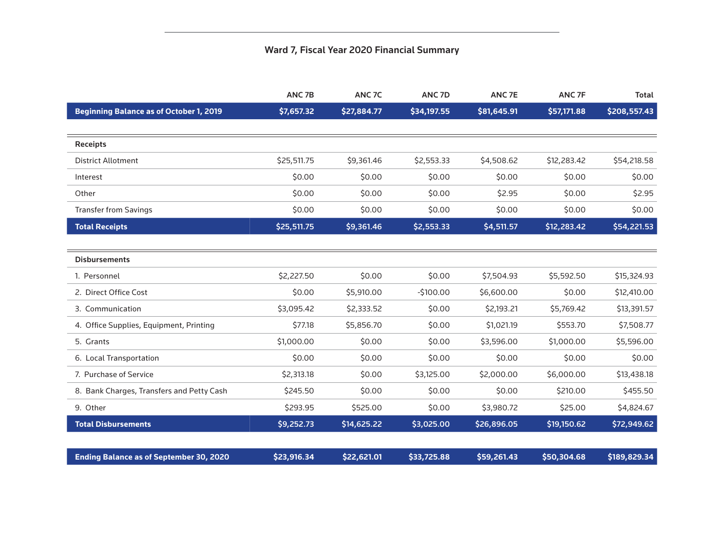### Ward 7, Fiscal Year 2020 Financial Summary

|                                                | ANC <sub>7B</sub> | ANC <sub>7C</sub> | ANC <sub>7D</sub> | ANC <sub>7E</sub> | ANC <sub>7F</sub> | <b>Total</b> |
|------------------------------------------------|-------------------|-------------------|-------------------|-------------------|-------------------|--------------|
| <b>Beginning Balance as of October 1, 2019</b> | \$7,657.32        | \$27,884.77       | \$34,197.55       | \$81,645.91       | \$57,171.88       | \$208,557.43 |
|                                                |                   |                   |                   |                   |                   |              |
| <b>Receipts</b>                                |                   |                   |                   |                   |                   |              |
| <b>District Allotment</b>                      | \$25,511.75       | \$9,361.46        | \$2,553.33        | \$4,508.62        | \$12,283.42       | \$54,218.58  |
| Interest                                       | \$0.00            | \$0.00            | \$0.00            | \$0.00            | \$0.00            | \$0.00       |
| Other                                          | \$0.00            | \$0.00            | \$0.00            | \$2.95            | \$0.00            | \$2.95       |
| <b>Transfer from Savings</b>                   | \$0.00            | \$0.00            | \$0.00            | \$0.00            | \$0.00            | \$0.00       |
| <b>Total Receipts</b>                          | \$25,511.75       | \$9,361.46        | \$2,553.33        | \$4,511.57        | \$12,283.42       | \$54,221.53  |
|                                                |                   |                   |                   |                   |                   |              |
| <b>Disbursements</b>                           |                   |                   |                   |                   |                   |              |
| 1. Personnel                                   | \$2,227.50        | \$0.00            | \$0.00            | \$7,504.93        | \$5,592.50        | \$15,324.93  |
| 2. Direct Office Cost                          | \$0.00            | \$5,910.00        | $-5100.00$        | \$6,600.00        | \$0.00            | \$12,410.00  |
| 3. Communication                               | \$3,095.42        | \$2,333.52        | \$0.00            | \$2,193.21        | \$5,769.42        | \$13,391.57  |
| 4. Office Supplies, Equipment, Printing        | \$77.18           | \$5,856.70        | \$0.00            | \$1,021.19        | \$553.70          | \$7,508.77   |
| 5. Grants                                      | \$1,000.00        | \$0.00            | \$0.00            | \$3,596.00        | \$1,000.00        | \$5,596.00   |
| 6. Local Transportation                        | \$0.00            | \$0.00            | \$0.00            | \$0.00            | \$0.00            | \$0.00       |
| 7. Purchase of Service                         | \$2,313.18        | \$0.00            | \$3,125.00        | \$2,000.00        | \$6,000.00        | \$13,438.18  |
| 8. Bank Charges, Transfers and Petty Cash      | \$245.50          | \$0.00            | \$0.00            | \$0.00            | \$210.00          | \$455.50     |
| 9. Other                                       | \$293.95          | \$525.00          | \$0.00            | \$3,980.72        | \$25.00           | \$4,824.67   |
| <b>Total Disbursements</b>                     | \$9,252.73        | \$14,625.22       | \$3,025.00        | \$26,896.05       | \$19,150.62       | \$72,949.62  |
|                                                |                   |                   |                   |                   |                   |              |
| <b>Ending Balance as of September 30, 2020</b> | \$23,916.34       | \$22,621.01       | \$33,725.88       | \$59,261.43       | \$50,304.68       | \$189,829.34 |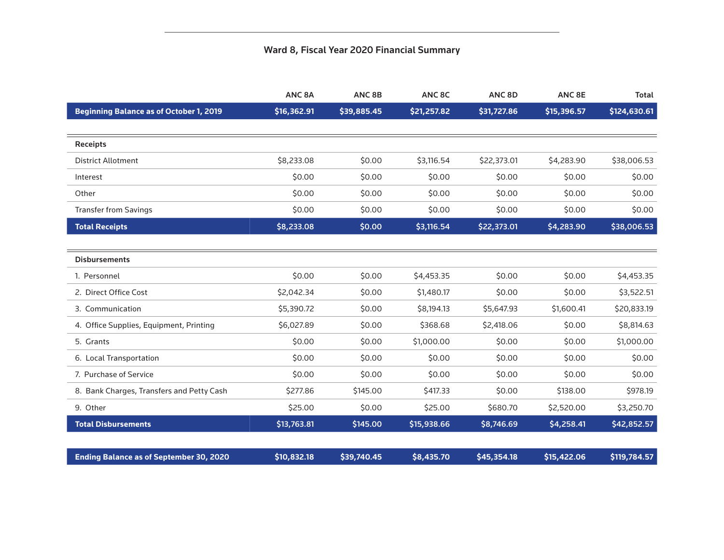### Ward 8, Fiscal Year 2020 Financial Summary

|                                                | ANC <sub>8A</sub> | ANC <sub>8B</sub> | ANC 8C      | ANC <sub>8D</sub> | ANC <sub>8E</sub> | <b>Total</b> |
|------------------------------------------------|-------------------|-------------------|-------------|-------------------|-------------------|--------------|
| <b>Beginning Balance as of October 1, 2019</b> | \$16,362.91       | \$39,885.45       | \$21,257.82 | \$31,727.86       | \$15,396.57       | \$124,630.61 |
|                                                |                   |                   |             |                   |                   |              |
| <b>Receipts</b>                                |                   |                   |             |                   |                   |              |
| <b>District Allotment</b>                      | \$8,233.08        | \$0.00            | \$3,116.54  | \$22,373.01       | \$4,283.90        | \$38,006.53  |
| Interest                                       | \$0.00            | \$0.00            | \$0.00      | \$0.00            | \$0.00            | \$0.00       |
| Other                                          | \$0.00            | \$0.00            | \$0.00      | \$0.00            | \$0.00            | \$0.00       |
| <b>Transfer from Savings</b>                   | \$0.00            | \$0.00            | \$0.00      | \$0.00            | \$0.00            | \$0.00       |
| <b>Total Receipts</b>                          | \$8,233.08        | \$0.00            | \$3,116.54  | \$22,373.01       | \$4,283.90        | \$38,006.53  |
|                                                |                   |                   |             |                   |                   |              |
| <b>Disbursements</b>                           |                   |                   |             |                   |                   |              |
| 1. Personnel                                   | \$0.00            | \$0.00            | \$4,453.35  | \$0.00            | \$0.00            | \$4,453.35   |
| 2. Direct Office Cost                          | \$2,042.34        | \$0.00            | \$1,480.17  | \$0.00            | \$0.00            | \$3,522.51   |
| 3. Communication                               | \$5,390.72        | \$0.00            | \$8,194.13  | \$5,647.93        | \$1,600.41        | \$20,833.19  |
| 4. Office Supplies, Equipment, Printing        | \$6,027.89        | \$0.00            | \$368.68    | \$2,418.06        | \$0.00            | \$8,814.63   |
| 5. Grants                                      | \$0.00            | \$0.00            | \$1,000.00  | \$0.00            | \$0.00            | \$1,000.00   |
| 6. Local Transportation                        | \$0.00            | \$0.00            | \$0.00      | \$0.00            | \$0.00            | \$0.00       |
| 7. Purchase of Service                         | \$0.00            | \$0.00            | \$0.00      | \$0.00            | \$0.00            | \$0.00       |
| 8. Bank Charges, Transfers and Petty Cash      | \$277.86          | \$145.00          | \$417.33    | \$0.00            | \$138.00          | \$978.19     |
| 9. Other                                       | \$25.00           | \$0.00            | \$25.00     | \$680.70          | \$2,520.00        | \$3,250.70   |
| <b>Total Disbursements</b>                     | \$13,763.81       | \$145.00          | \$15,938.66 | \$8,746.69        | \$4,258.41        | \$42,852.57  |
|                                                |                   |                   |             |                   |                   |              |
| <b>Ending Balance as of September 30, 2020</b> | \$10,832.18       | \$39,740.45       | \$8,435.70  | \$45,354.18       | \$15,422.06       | \$119,784.57 |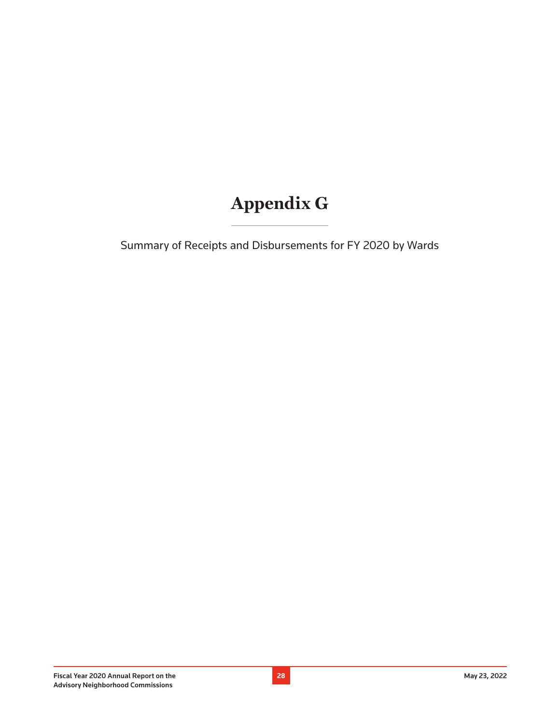### **Appendix G**

Summary of Receipts and Disbursements for FY 2020 by Wards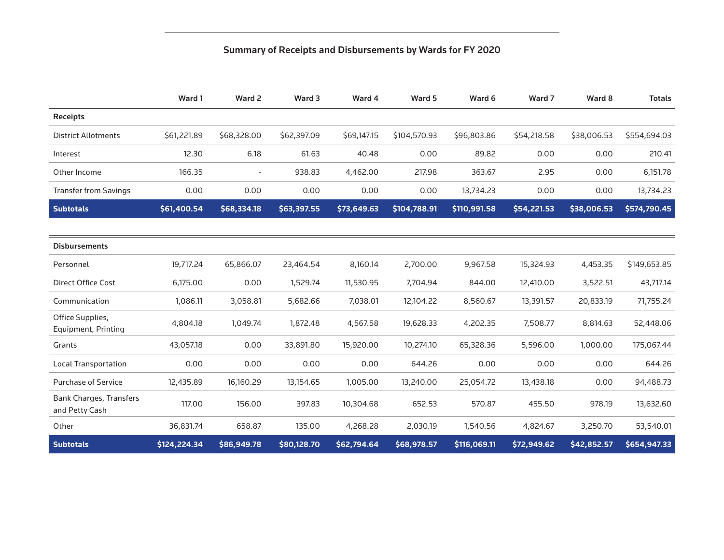### Summary of Receipts and Disbursements by Wards for FY 2020

|                                                  | Ward 1       | Ward 2      | Ward 3      | Ward 4      | Ward 5       | Ward 6       | Ward 7      | Ward 8      | <b>Totals</b> |
|--------------------------------------------------|--------------|-------------|-------------|-------------|--------------|--------------|-------------|-------------|---------------|
| <b>Receipts</b>                                  |              |             |             |             |              |              |             |             |               |
| <b>District Allotments</b>                       | \$61,221.89  | \$68,328.00 | \$62,397.09 | \$69,147.15 | \$104,570.93 | \$96,803.86  | \$54,218.58 | \$38,006.53 | \$554,694.03  |
| Interest                                         | 12.30        | 6.18        | 61.63       | 40.48       | 0.00         | 89.82        | 0.00        | 0.00        | 210.41        |
| Other Income                                     | 166.35       |             | 938.83      | 4,462.00    | 217.98       | 363.67       | 2.95        | 0.00        | 6,151.78      |
| <b>Transfer from Savings</b>                     | 0.00         | 0.00        | 0.00        | 0.00        | 0.00         | 13,734.23    | 0.00        | 0.00        | 13,734.23     |
| <b>Subtotals</b>                                 | \$61,400.54  | \$68,334.18 | \$63,397.55 | \$73,649.63 | \$104,788.91 | \$110,991.58 | \$54,221.53 | \$38,006.53 | \$574,790.45  |
|                                                  |              |             |             |             |              |              |             |             |               |
| <b>Disbursements</b>                             |              |             |             |             |              |              |             |             |               |
| Personnel                                        | 19,717.24    | 65,866.07   | 23,464.54   | 8,160.14    | 2,700.00     | 9,967.58     | 15,324.93   | 4,453.35    | \$149,653.85  |
| <b>Direct Office Cost</b>                        | 6,175.00     | 0.00        | 1,529.74    | 11,530.95   | 7,704.94     | 844.00       | 12,410.00   | 3,522.51    | 43,717.14     |
| Communication                                    | 1,086.11     | 3,058.81    | 5,682.66    | 7,038.01    | 12,104.22    | 8,560.67     | 13,391.57   | 20,833.19   | 71,755.24     |
| Office Supplies,<br>Equipment, Printing          | 4,804.18     | 1,049.74    | 1,872.48    | 4,567.58    | 19,628.33    | 4,202.35     | 7,508.77    | 8,814.63    | 52,448.06     |
| Grants                                           | 43,057.18    | 0.00        | 33,891.80   | 15,920.00   | 10,274.10    | 65,328.36    | 5,596.00    | 1,000.00    | 175,067.44    |
| <b>Local Transportation</b>                      | 0.00         | 0.00        | 0.00        | 0.00        | 644.26       | 0.00         | 0.00        | 0.00        | 644.26        |
| <b>Purchase of Service</b>                       | 12,435.89    | 16,160.29   | 13,154.65   | 1,005.00    | 13,240.00    | 25,054.72    | 13,438.18   | 0.00        | 94,488.73     |
| <b>Bank Charges, Transfers</b><br>and Petty Cash | 117.00       | 156.00      | 397.83      | 10,304.68   | 652.53       | 570.87       | 455.50      | 978.19      | 13,632.60     |
| Other                                            | 36,831.74    | 658.87      | 135.00      | 4,268.28    | 2,030.19     | 1,540.56     | 4,824.67    | 3,250.70    | 53,540.01     |
| <b>Subtotals</b>                                 | \$124,224.34 | \$86,949.78 | \$80,128.70 | \$62,794.64 | \$68,978.57  | \$116,069.11 | \$72,949.62 | \$42,852.57 | \$654,947.33  |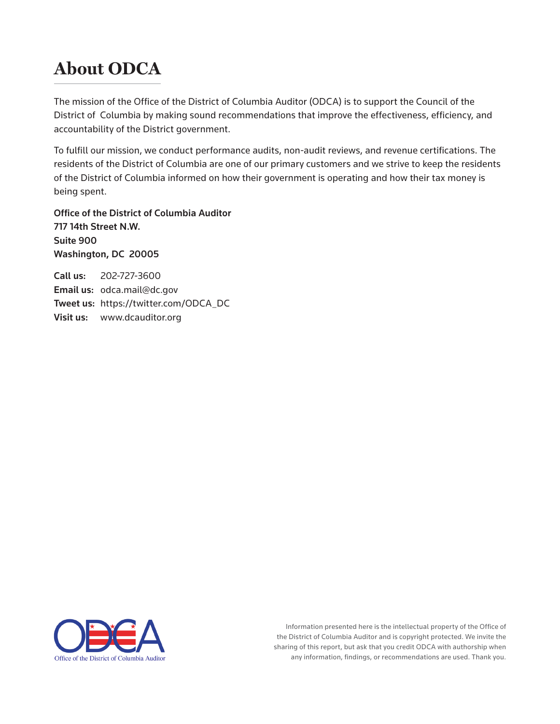### **About ODCA**

The mission of the Office of the District of Columbia Auditor (ODCA) is to support the Council of the District of Columbia by making sound recommendations that improve the effectiveness, efficiency, and accountability of the District government.

To fulfill our mission, we conduct performance audits, non-audit reviews, and revenue certifications. The residents of the District of Columbia are one of our primary customers and we strive to keep the residents of the District of Columbia informed on how their government is operating and how their tax money is being spent.

Office of the District of Columbia Auditor 717 14th Street N.W. Suite 900 Washington, DC 20005

Call us: 202-727-3600 Email us: odca.mail@dc.gov Tweet us: https://twitter.com/ODCA\_DC Visit us: www.dcauditor.org



Information presented here is the intellectual property of the Office of the District of Columbia Auditor and is copyright protected. We invite the sharing of this report, but ask that you credit ODCA with authorship when any information, findings, or recommendations are used. Thank you.